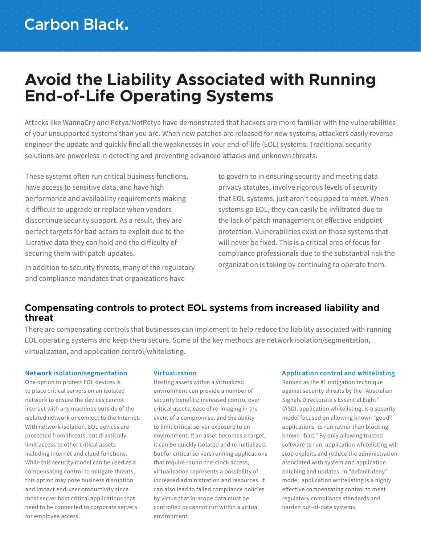# **Avoid the Liability Associated with Running End-of-Life Operating Systems**

Attacks like WannaCry and Petya/NotPetya have demonstrated that hackers are more familiar with the vulnerabilities of your unsupported systems than you are. When new patches are released for new systems, attackers easily reverse engineer the update and quickly find all the weaknesses in your end-of-life (EOL) systems. Traditional security solutions are powerless in detecting and preventing advanced attacks and unknown threats.

These systems often run critical business functions, have access to sensitive data, and have high performance and availability requirements making it difficult to upgrade or replace when vendors discontinue security support. As a result, they are perfect targets for bad actors to exploit due to the lucrative data they can hold and the difficulty of securing them with patch updates.

In addition to security threats, many of the regulatory and compliance mandates that organizations have

to govern to in ensuring security and meeting data privacy statutes, involve rigorous levels of security that EOL systems, just aren't equipped to meet. When systems go EOL, they can easily be infiltrated due to the lack of patch management or effective endpoint protection. Vulnerabilities exist on those systems that will never be fixed. This is a critical area of focus for compliance professionals due to the substantial risk the organization is taking by continuing to operate them.

### **Compensating controls to protect EOL systems from increased liability and threat**

There are compensating controls that businesses can implement to help reduce the liability associated with running EOL operating systems and keep them secure. Some of the key methods are network isolation/segmentation, virtualization, and application control/whitelisting.

### **Network isolation/segmentation**

One option to protect EOL devices is to place critical servers on an isolated network to ensure the devices cannot interact with any machines outside of the isolated network or connect to the Internet. With network isolation, EOL devices are protected from threats, but drastically limit access to other critical assets including internet and cloud functions. While this security model can be used as a compensating control to mitigate threats, this option may pose business disruption and impact end-user productivity since most server host critical applications that need to be connected to corporate servers for employee access.

#### **Virtualization**

Hosting assets within a virtualized environment can provide a number of security benefits; increased control over critical assets, ease of re-imaging in the event of a compromise, and the ability to limit critical server exposure to an environment. If an asset becomes a target, it can be quickly isolated and re-initialized. but for critical servers running applications that require round-the-clock access, virtualization represents a possibility of increased administration and resources. It can also lead to failed compliance policies by virtue that in-scope data must be controlled or cannot run within a virtual environment.

### **Application control and whitelisting**

Ranked as the #1 mitigation technique against security threats by the "Australian Signals Directorate's Essential Eight" (ASD), application whitelisting, is a security model focused on allowing known "good" applications to run rather than blocking known "bad." By only allowing trusted software to run, application whitelisting will stop exploits and reduce the administration associated with system and application patching and updates. In "default-deny" mode, application whitelisting is a highly effective compensating control to meet regulatory compliance standards and harden out-of-date systems.